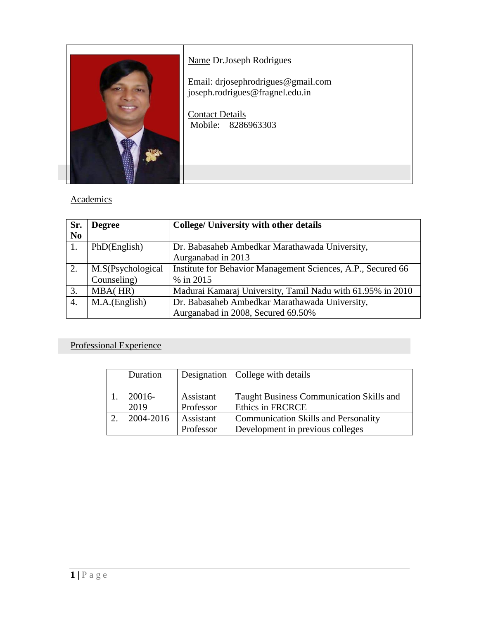

## Name Dr.Joseph Rodrigues

Email: drjosephrodrigues@gmail.com joseph.rodrigues@fragnel.edu.in

Contact Details Mobile: 8286963303

### **Academics**

| Sr.            | <b>Degree</b>     | <b>College/ University with other details</b>                |  |
|----------------|-------------------|--------------------------------------------------------------|--|
| N <sub>0</sub> |                   |                                                              |  |
|                | PhD(English)      | Dr. Babasaheb Ambedkar Marathawada University,               |  |
|                |                   | Aurganabad in 2013                                           |  |
| 2.             | M.S(Psychological | Institute for Behavior Management Sciences, A.P., Secured 66 |  |
|                | Counseling)       | % in 2015                                                    |  |
| 3.             | MBA(HR)           | Madurai Kamaraj University, Tamil Nadu with 61.95% in 2010   |  |
| 4.             | M.A.(English)     | Dr. Babasaheb Ambedkar Marathawada University,               |  |
|                |                   | Aurganabad in 2008, Secured 69.50%                           |  |

## Professional Experience

| Duration  |           | Designation   College with details          |
|-----------|-----------|---------------------------------------------|
|           |           |                                             |
| $20016-$  | Assistant | Taught Business Communication Skills and    |
| 2019      | Professor | <b>Ethics in FRCRCE</b>                     |
| 2004-2016 | Assistant | <b>Communication Skills and Personality</b> |
|           | Professor | Development in previous colleges            |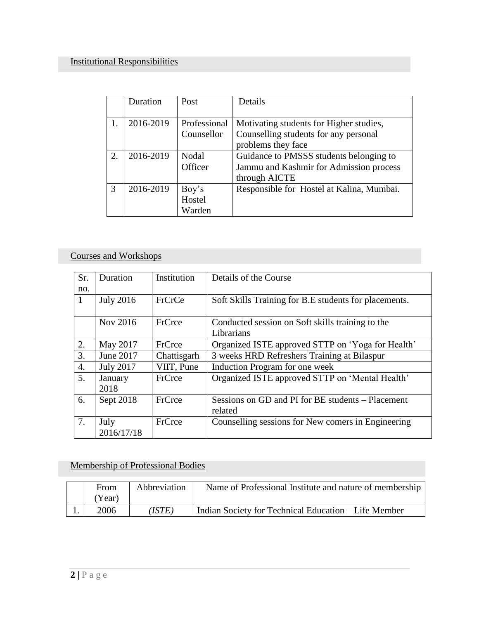|    | Duration  | Post         | Details                                   |
|----|-----------|--------------|-------------------------------------------|
|    |           |              |                                           |
|    | 2016-2019 | Professional | Motivating students for Higher studies,   |
|    |           | Counsellor   | Counselling students for any personal     |
|    |           |              | problems they face                        |
| 2. | 2016-2019 | Nodal        | Guidance to PMSSS students belonging to   |
|    |           | Officer      | Jammu and Kashmir for Admission process   |
|    |           |              | through AICTE                             |
| 3  | 2016-2019 | Boy's        | Responsible for Hostel at Kalina, Mumbai. |
|    |           | Hostel       |                                           |
|    |           | Warden       |                                           |

# Courses and Workshops

| Sr.          | Duration         | Institution | Details of the Course                                 |  |
|--------------|------------------|-------------|-------------------------------------------------------|--|
| no.          |                  |             |                                                       |  |
| $\mathbf{1}$ | <b>July 2016</b> | FrCrCe      | Soft Skills Training for B.E students for placements. |  |
|              |                  |             |                                                       |  |
|              | Nov 2016         | FrCrce      | Conducted session on Soft skills training to the      |  |
|              |                  |             | Librarians                                            |  |
| 2.           | May 2017         | FrCrce      | Organized ISTE approved STTP on 'Yoga for Health'     |  |
| 3.           | June 2017        | Chattisgarh | 3 weeks HRD Refreshers Training at Bilaspur           |  |
| 4.           | <b>July 2017</b> | VIIT, Pune  | Induction Program for one week                        |  |
| 5.           | January          | FrCrce      | Organized ISTE approved STTP on 'Mental Health'       |  |
|              | 2018             |             |                                                       |  |
| 6.           | Sept 2018        | FrCrce      | Sessions on GD and PI for BE students – Placement     |  |
|              |                  |             | related                                               |  |
| 7.           | July             | FrCrce      | Counselling sessions for New comers in Engineering    |  |
|              | 2016/17/18       |             |                                                       |  |

## Membership of Professional Bodies

| From<br>(Year) | Abbreviation | Name of Professional Institute and nature of membership |
|----------------|--------------|---------------------------------------------------------|
| 2006           | (ISTE)       | Indian Society for Technical Education—Life Member      |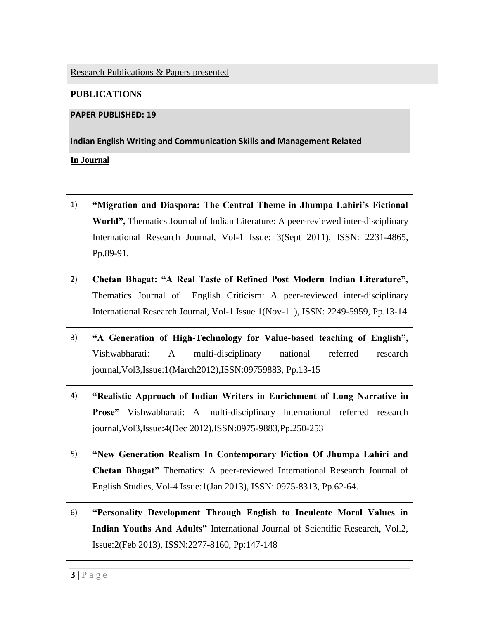Research Publications & Papers presented

### **PUBLICATIONS**

#### **PAPER PUBLISHED: 19**

**Indian English Writing and Communication Skills and Management Related**

#### **In Journal**

| 1) | "Migration and Diaspora: The Central Theme in Jhumpa Lahiri's Fictional                  |
|----|------------------------------------------------------------------------------------------|
|    | World", Thematics Journal of Indian Literature: A peer-reviewed inter-disciplinary       |
|    | International Research Journal, Vol-1 Issue: 3(Sept 2011), ISSN: 2231-4865,              |
|    | Pp.89-91.                                                                                |
| 2) | Chetan Bhagat: "A Real Taste of Refined Post Modern Indian Literature",                  |
|    | Thematics Journal of English Criticism: A peer-reviewed inter-disciplinary               |
|    | International Research Journal, Vol-1 Issue 1(Nov-11), ISSN: 2249-5959, Pp.13-14         |
| 3) | "A Generation of High-Technology for Value-based teaching of English",                   |
|    | multi-disciplinary<br>national<br>referred<br>Vishwabharati:<br>$\mathbf{A}$<br>research |
|    | journal, Vol3, Issue: 1(March2012), ISSN: 09759883, Pp.13-15                             |
| 4) | "Realistic Approach of Indian Writers in Enrichment of Long Narrative in                 |
|    | Prose" Vishwabharati: A multi-disciplinary International referred research               |
|    | journal, Vol3, Issue: 4(Dec 2012), ISSN: 0975-9883, Pp. 250-253                          |
| 5) | "New Generation Realism In Contemporary Fiction Of Jhumpa Lahiri and                     |
|    | Chetan Bhagat" Thematics: A peer-reviewed International Research Journal of              |
|    | English Studies, Vol-4 Issue:1(Jan 2013), ISSN: 0975-8313, Pp.62-64.                     |
| 6) | "Personality Development Through English to Inculcate Moral Values in                    |
|    | Indian Youths And Adults" International Journal of Scientific Research, Vol.2,           |
|    | Issue: 2(Feb 2013), ISSN: 2277-8160, Pp: 147-148                                         |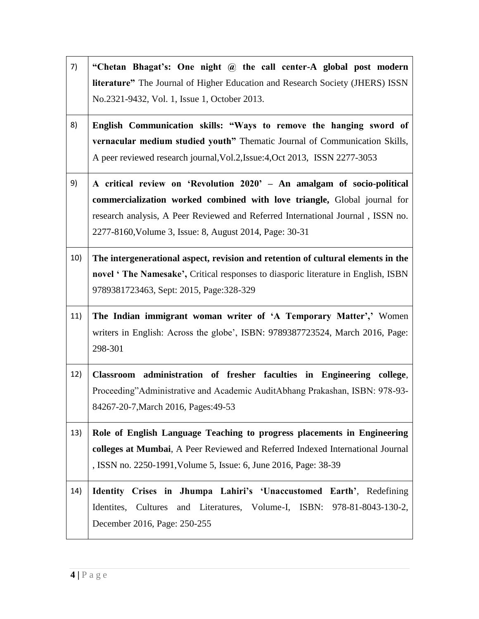7) **"Chetan Bhagat"s: One night @ the call center-A global post modern literature"** The Journal of Higher Education and Research Society (JHERS) ISSN No.2321-9432, Vol. 1, Issue 1, October 2013. 8) **English Communication skills: "Ways to remove the hanging sword of vernacular medium studied youth"** Thematic Journal of Communication Skills, A peer reviewed research journal,Vol.2,Issue:4,Oct 2013, ISSN 2277-3053 9) **A critical review on "Revolution 2020" – An amalgam of socio-political commercialization worked combined with love triangle,** Global journal for research analysis, A Peer Reviewed and Referred International Journal , ISSN no. 2277-8160,Volume 3, Issue: 8, August 2014, Page: 30-31 10) **The intergenerational aspect, revision and retention of cultural elements in the novel " The Namesake",** Critical responses to diasporic literature in English, ISBN 9789381723463, Sept: 2015, Page:328-329 11) **The Indian immigrant woman writer of "A Temporary Matter","** Women writers in English: Across the globe', ISBN: 9789387723524, March 2016, Page: 298-301 12) **Classroom administration of fresher faculties in Engineering college**, Proceeding"Administrative and Academic AuditAbhang Prakashan, ISBN: 978-93-84267-20-7,March 2016, Pages:49-53 13) **Role of English Language Teaching to progress placements in Engineering colleges at Mumbai**, A Peer Reviewed and Referred Indexed International Journal , ISSN no. 2250-1991,Volume 5, Issue: 6, June 2016, Page: 38-39 14) **Identity Crises in Jhumpa Lahiri"s "Unaccustomed Earth"**, Redefining Identites, Cultures and Literatures, Volume-I, ISBN: 978-81-8043-130-2, December 2016, Page: 250-255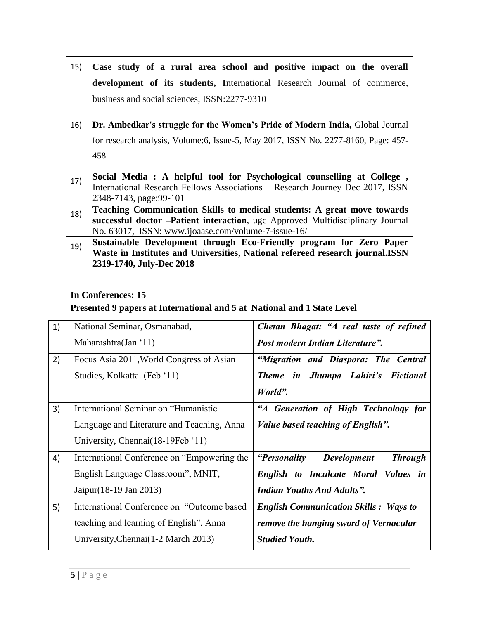| 15) | Case study of a rural area school and positive impact on the overall               |  |  |
|-----|------------------------------------------------------------------------------------|--|--|
|     | development of its students, International Research Journal of commerce,           |  |  |
|     | business and social sciences, ISSN:2277-9310                                       |  |  |
| 16) | Dr. Ambedkar's struggle for the Women's Pride of Modern India, Global Journal      |  |  |
|     | for research analysis, Volume:6, Issue-5, May 2017, ISSN No. 2277-8160, Page: 457- |  |  |
|     | 458                                                                                |  |  |
|     |                                                                                    |  |  |
| 17) | Social Media : A helpful tool for Psychological counselling at College,            |  |  |
|     | International Research Fellows Associations – Research Journey Dec 2017, ISSN      |  |  |
|     | 2348-7143, page: 99-101                                                            |  |  |
| 18) | Teaching Communication Skills to medical students: A great move towards            |  |  |
|     | successful doctor - Patient interaction, ugc Approved Multidisciplinary Journal    |  |  |
|     | No. 63017, ISSN: www.ijoaase.com/volume-7-issue-16/                                |  |  |
| 19) | Sustainable Development through Eco-Friendly program for Zero Paper                |  |  |
|     | Waste in Institutes and Universities, National refereed research journal.ISSN      |  |  |
|     | 2319-1740, July-Dec 2018                                                           |  |  |

### **In Conferences: 15**

## **Presented 9 papers at International and 5 at National and 1 State Level**

| 1) | National Seminar, Osmanabad,                | Chetan Bhagat: "A real taste of refined                     |
|----|---------------------------------------------|-------------------------------------------------------------|
|    | Maharashtra(Jan '11)                        | Post modern Indian Literature".                             |
| 2) | Focus Asia 2011, World Congress of Asian    | "Migration and Diaspora: The Central                        |
|    | Studies, Kolkatta. (Feb '11)                | Theme in Jhumpa Lahiri's Fictional                          |
|    |                                             | World".                                                     |
| 3) | International Seminar on "Humanistic        | "A Generation of High Technology for                        |
|    | Language and Literature and Teaching, Anna  | Value based teaching of English".                           |
|    | University, Chennai(18-19Feb '11)           |                                                             |
| 4) | International Conference on "Empowering the | <i>"Personality</i><br><b>Development</b><br><b>Through</b> |
|    | English Language Classroom", MNIT,          | English to Inculcate Moral Values in                        |
|    | Jaipur (18-19 Jan 2013)                     | <b>Indian Youths And Adults".</b>                           |
| 5) | International Conference on "Outcome based" | <b>English Communication Skills : Ways to</b>               |
|    | teaching and learning of English", Anna     | remove the hanging sword of Vernacular                      |
|    | University, Chennai (1-2 March 2013)        | <b>Studied Youth.</b>                                       |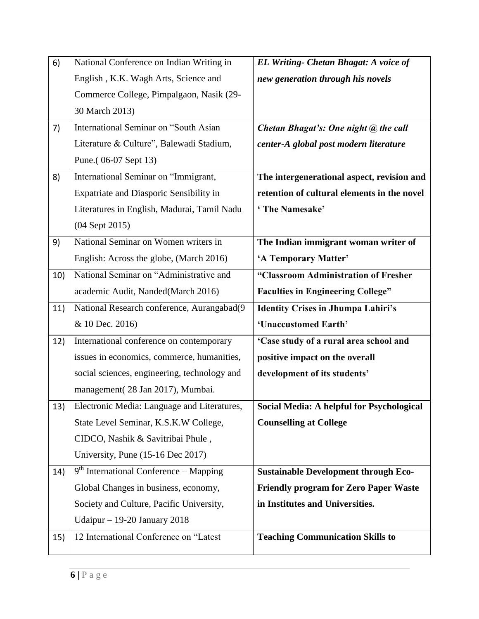| 6)  | National Conference on Indian Writing in        | <b>EL Writing- Chetan Bhagat: A voice of</b> |
|-----|-------------------------------------------------|----------------------------------------------|
|     | English, K.K. Wagh Arts, Science and            | new generation through his novels            |
|     | Commerce College, Pimpalgaon, Nasik (29-        |                                              |
|     | 30 March 2013)                                  |                                              |
| 7)  | International Seminar on "South Asian           | Chetan Bhagat's: One night @ the call        |
|     | Literature & Culture", Balewadi Stadium,        | center-A global post modern literature       |
|     | Pune.(06-07 Sept 13)                            |                                              |
| 8)  | International Seminar on "Immigrant,            | The intergenerational aspect, revision and   |
|     | Expatriate and Diasporic Sensibility in         | retention of cultural elements in the novel  |
|     | Literatures in English, Madurai, Tamil Nadu     | 'The Namesake'                               |
|     | (04 Sept 2015)                                  |                                              |
| 9)  | National Seminar on Women writers in            | The Indian immigrant woman writer of         |
|     | English: Across the globe, (March 2016)         | 'A Temporary Matter'                         |
| 10) | National Seminar on "Administrative and         | "Classroom Administration of Fresher         |
|     | academic Audit, Nanded(March 2016)              | <b>Faculties in Engineering College"</b>     |
| 11) | National Research conference, Aurangabad(9      | <b>Identity Crises in Jhumpa Lahiri's</b>    |
|     | & 10 Dec. 2016)                                 | 'Unaccustomed Earth'                         |
| 12) | International conference on contemporary        | 'Case study of a rural area school and       |
|     | issues in economics, commerce, humanities,      | positive impact on the overall               |
|     | social sciences, engineering, technology and    | development of its students'                 |
|     | management(28 Jan 2017), Mumbai.                |                                              |
|     | 13) Electronic Media: Language and Literatures, | Social Media: A helpful for Psychological    |
|     | State Level Seminar, K.S.K.W College,           | <b>Counselling at College</b>                |
|     | CIDCO, Nashik & Savitribai Phule,               |                                              |
|     | University, Pune (15-16 Dec 2017)               |                                              |
| 14) | $9th$ International Conference – Mapping        | <b>Sustainable Development through Eco-</b>  |
|     | Global Changes in business, economy,            | <b>Friendly program for Zero Paper Waste</b> |
|     | Society and Culture, Pacific University,        | in Institutes and Universities.              |
|     | Udaipur $-19-20$ January 2018                   |                                              |
| 15) | 12 International Conference on "Latest          | <b>Teaching Communication Skills to</b>      |
|     |                                                 |                                              |